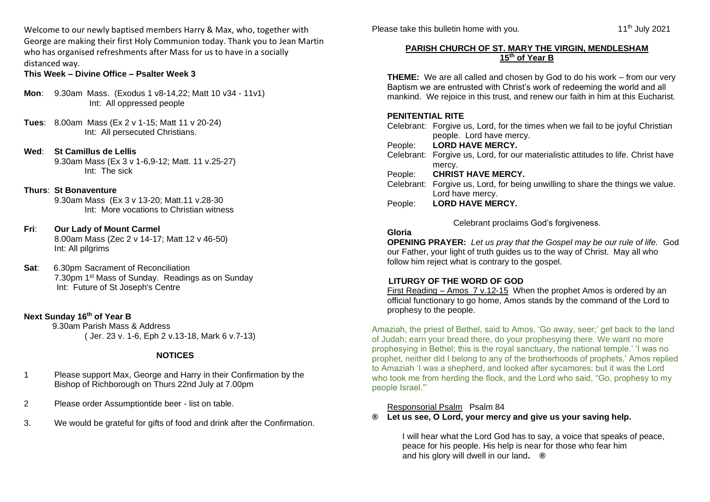Welcome to our newly baptised members Harry & Max, who, together with George are making their first Holy Communion today. Thank you to Jean Martin who has organised refreshments after Mass for us to have in a socially distanced way.

**This Week – Divine Office – Psalter Week 3**

- **Mon**: 9.30am Mass. (Exodus 1 v8-14,22; Matt 10 v34 11v1) Int: All oppressed people
- **Tues**: 8.00am Mass (Ex 2 v 1-15; Matt 11 v 20-24) Int: All persecuted Christians.
- **Wed**: **St Camillus de Lellis** 9.30am Mass (Ex 3 v 1-6,9-12; Matt. 11 v.25-27) Int: The sick

#### **Thurs**: **St Bonaventure**

9.30am Mass (Ex 3 v 13-20; Matt.11 v.28-30 Int: More vocations to Christian witness

- **Fri**: **Our Lady of Mount Carmel** 8.00am Mass (Zec 2 v 14-17; Matt 12 v 46-50) Int: All pilgrims
- **Sat**: 6.30pm Sacrament of Reconciliation 7.30pm 1<sup>st</sup> Mass of Sunday. Readings as on Sunday Int: Future of St Joseph's Centre

# **Next Sunday 16th of Year B**

9.30am Parish Mass & Address ( Jer. 23 v. 1-6, Eph 2 v.13-18, Mark 6 v.7-13)

# **NOTICES**

- 1 Please support Max, George and Harry in their Confirmation by the Bishop of Richborough on Thurs 22nd July at 7.00pm
- 2 Please order Assumptiontide beer list on table.
- 3. We would be grateful for gifts of food and drink after the Confirmation.

Please take this bulletin home with you.

#### **PARISH CHURCH OF ST. MARY THE VIRGIN, MENDLESHAM 15th of Year B**

**THEME:** We are all called and chosen by God to do his work – from our very Baptism we are entrusted with Christ's work of redeeming the world and all mankind. We rejoice in this trust, and renew our faith in him at this Eucharist.

#### **PENITENTIAL RITE**

|         | Celebrant: Forgive us, Lord, for the times when we fail to be joyful Christian    |
|---------|-----------------------------------------------------------------------------------|
|         | people. Lord have mercy.                                                          |
| People: | <b>LORD HAVE MERCY.</b>                                                           |
|         | Celebrant: Forgive us, Lord, for our materialistic attitudes to life. Christ have |
|         | mercy.                                                                            |
|         | People: CHRIST HAVE MERCY.                                                        |
|         | Celebrant: Forgive us, Lord, for being unwilling to share the things we value.    |
|         | Lord have mercy.                                                                  |
| People: | <b>LORD HAVE MERCY.</b>                                                           |
|         |                                                                                   |

Celebrant proclaims God's forgiveness.

# **Gloria**

**OPENING PRAYER:** *Let us pray that the Gospel may be our rule of life.* God our Father, your light of truth guides us to the way of Christ. May all who follow him reject what is contrary to the gospel.

# **LITURGY OF THE WORD OF GOD**

First Reading – Amos 7 v.12-15 When the prophet Amos is ordered by an official functionary to go home, Amos stands by the command of the Lord to prophesy to the people.

Amaziah, the priest of Bethel, said to Amos, 'Go away, seer;' get back to the land of Judah; earn your bread there, do your prophesying there. We want no more prophesying in Bethel; this is the royal sanctuary, the national temple.' 'I was no prophet, neither did I belong to any of the brotherhoods of prophets,' Amos replied to Amaziah 'I was a shepherd, and looked after sycamores: but it was the Lord who took me from herding the flock, and the Lord who said, "Go, prophesy to my people Israel."'

# Responsorial Psalm Psalm 84

**® Let us see, O Lord, your mercy and give us your saving help.**

I will hear what the Lord God has to say, a voice that speaks of peace, peace for his people. His help is near for those who fear him and his glory will dwell in our land**. ®**